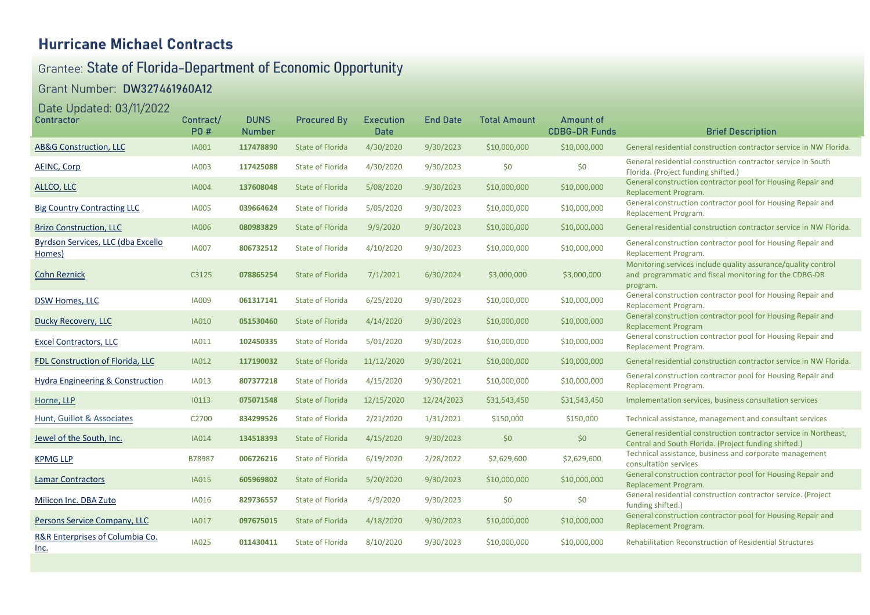## **Hurricane Michael Contracts**

# Grantee: State of Florida-Department of Economic Opportunity

### Grant Number: DW327461960A12

### Date Updated: 03/11/2022

| <b>Contractor</b>                              | Contract/<br><b>PO#</b> | <b>DUNS</b><br><b>Number</b> | <b>Procured By</b>      | <b>Execution</b><br><b>Date</b> | <b>End Date</b> | <b>Total Amount</b> | <b>Amount of</b><br><b>CDBG-DR Funds</b> | <b>Brief Description</b>                                                                                                            |
|------------------------------------------------|-------------------------|------------------------------|-------------------------|---------------------------------|-----------------|---------------------|------------------------------------------|-------------------------------------------------------------------------------------------------------------------------------------|
| <b>AB&amp;G Construction, LLC</b>              | <b>IA001</b>            | 117478890                    | <b>State of Florida</b> | 4/30/2020                       | 9/30/2023       | \$10,000,000        | \$10,000,000                             | General residential construction contractor service in NW Florida.                                                                  |
| <b>AEINC, Corp</b>                             | <b>IA003</b>            | 117425088                    | <b>State of Florida</b> | 4/30/2020                       | 9/30/2023       | \$0                 | \$0                                      | General residential construction contractor service in South<br>Florida. (Project funding shifted.)                                 |
| ALLCO, LLC                                     | <b>IA004</b>            | 137608048                    | <b>State of Florida</b> | 5/08/2020                       | 9/30/2023       | \$10,000,000        | \$10,000,000                             | General construction contractor pool for Housing Repair and<br>Replacement Program.                                                 |
| <b>Big Country Contracting LLC</b>             | <b>IA005</b>            | 039664624                    | <b>State of Florida</b> | 5/05/2020                       | 9/30/2023       | \$10,000,000        | \$10,000,000                             | General construction contractor pool for Housing Repair and<br>Replacement Program.                                                 |
| <b>Brizo Construction, LLC</b>                 | <b>IA006</b>            | 080983829                    | <b>State of Florida</b> | 9/9/2020                        | 9/30/2023       | \$10,000,000        | \$10,000,000                             | General residential construction contractor service in NW Florida.                                                                  |
| Byrdson Services, LLC (dba Excello<br>Homes)   | <b>IA007</b>            | 806732512                    | <b>State of Florida</b> | 4/10/2020                       | 9/30/2023       | \$10,000,000        | \$10,000,000                             | General construction contractor pool for Housing Repair and<br>Replacement Program.                                                 |
| <b>Cohn Reznick</b>                            | C3125                   | 078865254                    | <b>State of Florida</b> | 7/1/2021                        | 6/30/2024       | \$3,000,000         | \$3,000,000                              | Monitoring services include quality assurance/quality control<br>and programmatic and fiscal monitoring for the CDBG-DR<br>program. |
| DSW Homes, LLC                                 | <b>IA009</b>            | 061317141                    | <b>State of Florida</b> | 6/25/2020                       | 9/30/2023       | \$10,000,000        | \$10,000,000                             | General construction contractor pool for Housing Repair and<br>Replacement Program.                                                 |
| <b>Ducky Recovery, LLC</b>                     | <b>IA010</b>            | 051530460                    | <b>State of Florida</b> | 4/14/2020                       | 9/30/2023       | \$10,000,000        | \$10,000,000                             | General construction contractor pool for Housing Repair and<br><b>Replacement Program</b>                                           |
| <b>Excel Contractors, LLC</b>                  | <b>IA011</b>            | 102450335                    | <b>State of Florida</b> | 5/01/2020                       | 9/30/2023       | \$10,000,000        | \$10,000,000                             | General construction contractor pool for Housing Repair and<br>Replacement Program.                                                 |
| FDL Construction of Florida, LLC               | <b>IA012</b>            | 117190032                    | <b>State of Florida</b> | 11/12/2020                      | 9/30/2021       | \$10,000,000        | \$10,000,000                             | General residential construction contractor service in NW Florida.                                                                  |
| <b>Hydra Engineering &amp; Construction</b>    | <b>IA013</b>            | 807377218                    | <b>State of Florida</b> | 4/15/2020                       | 9/30/2021       | \$10,000,000        | \$10,000,000                             | General construction contractor pool for Housing Repair and<br>Replacement Program.                                                 |
| Horne, LLP                                     | 10113                   | 075071548                    | <b>State of Florida</b> | 12/15/2020                      | 12/24/2023      | \$31,543,450        | \$31,543,450                             | Implementation services, business consultation services                                                                             |
| <b>Hunt, Guillot &amp; Associates</b>          | C2700                   | 834299526                    | <b>State of Florida</b> | 2/21/2020                       | 1/31/2021       | \$150,000           | \$150,000                                | Technical assistance, management and consultant services                                                                            |
| Jewel of the South, Inc.                       | <b>IA014</b>            | 134518393                    | <b>State of Florida</b> | 4/15/2020                       | 9/30/2023       | \$0                 | \$0                                      | General residential construction contractor service in Northeast,<br>Central and South Florida. (Project funding shifted.)          |
| <b>KPMG LLP</b>                                | B78987                  | 006726216                    | <b>State of Florida</b> | 6/19/2020                       | 2/28/2022       | \$2,629,600         | \$2,629,600                              | Technical assistance, business and corporate management<br>consultation services                                                    |
| <b>Lamar Contractors</b>                       | <b>IA015</b>            | 605969802                    | <b>State of Florida</b> | 5/20/2020                       | 9/30/2023       | \$10,000,000        | \$10,000,000                             | General construction contractor pool for Housing Repair and<br>Replacement Program.                                                 |
| Milicon Inc. DBA Zuto                          | <b>IA016</b>            | 829736557                    | <b>State of Florida</b> | 4/9/2020                        | 9/30/2023       | \$0                 | \$0                                      | General residential construction contractor service. (Project<br>funding shifted.)                                                  |
| Persons Service Company, LLC                   | <b>IA017</b>            | 097675015                    | <b>State of Florida</b> | 4/18/2020                       | 9/30/2023       | \$10,000,000        | \$10,000,000                             | General construction contractor pool for Housing Repair and<br>Replacement Program.                                                 |
| R&R Enterprises of Columbia Co.<br><u>Inc.</u> | <b>IA025</b>            | 011430411                    | <b>State of Florida</b> | 8/10/2020                       | 9/30/2023       | \$10,000,000        | \$10,000,000                             | <b>Rehabilitation Reconstruction of Residential Structures</b>                                                                      |
|                                                |                         |                              |                         |                                 |                 |                     |                                          |                                                                                                                                     |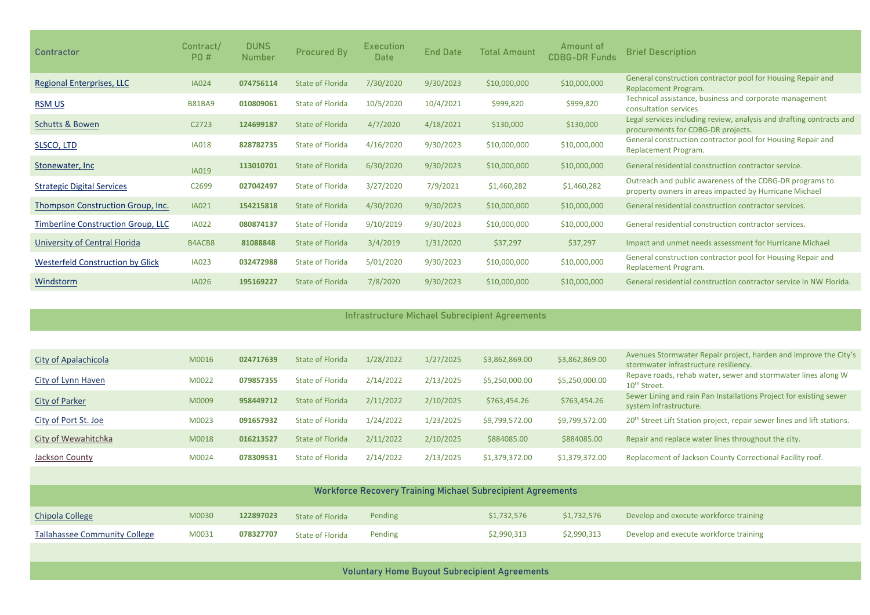| <b>Contractor</b>                       | Contract/<br><b>PO#</b> | <b>DUNS</b><br>Number | <b>Procured By</b>      | <b>Execution</b><br><b>Date</b> | <b>End Date</b> | Total Amount | Amount of<br><b>CDBG-DR Funds</b> | <b>Brief Description</b>                                                                                           |
|-----------------------------------------|-------------------------|-----------------------|-------------------------|---------------------------------|-----------------|--------------|-----------------------------------|--------------------------------------------------------------------------------------------------------------------|
| <b>Regional Enterprises, LLC</b>        | <b>IA024</b>            | 074756114             | <b>State of Florida</b> | 7/30/2020                       | 9/30/2023       | \$10,000,000 | \$10,000,000                      | General construction contractor pool for Housing Repair and<br>Replacement Program.                                |
| <b>RSM US</b>                           | <b>B81BA9</b>           | 010809061             | <b>State of Florida</b> | 10/5/2020                       | 10/4/2021       | \$999,820    | \$999,820                         | Technical assistance, business and corporate management<br>consultation services                                   |
| <b>Schutts &amp; Bowen</b>              | C <sub>2723</sub>       | 124699187             | State of Florida        | 4/7/2020                        | 4/18/2021       | \$130,000    | \$130,000                         | Legal services including review, analysis and drafting contracts and<br>procurements for CDBG-DR projects.         |
| SLSCO, LTD                              | <b>IA018</b>            | 828782735             | State of Florida        | 4/16/2020                       | 9/30/2023       | \$10,000,000 | \$10,000,000                      | General construction contractor pool for Housing Repair and<br>Replacement Program.                                |
| <b>Stonewater, Inc.</b>                 | IA019                   | 113010701             | <b>State of Florida</b> | 6/30/2020                       | 9/30/2023       | \$10,000,000 | \$10,000,000                      | General residential construction contractor service.                                                               |
| <b>Strategic Digital Services</b>       | C <sub>2699</sub>       | 027042497             | <b>State of Florida</b> | 3/27/2020                       | 7/9/2021        | \$1,460,282  | \$1,460,282                       | Outreach and public awareness of the CDBG-DR programs to<br>property owners in areas impacted by Hurricane Michael |
| Thompson Construction Group, Inc.       | <b>IA021</b>            | 154215818             | <b>State of Florida</b> | 4/30/2020                       | 9/30/2023       | \$10,000,000 | \$10,000,000                      | General residential construction contractor services.                                                              |
| Timberline Construction Group, LLC      | <b>IA022</b>            | 080874137             | State of Florida        | 9/10/2019                       | 9/30/2023       | \$10,000,000 | \$10,000,000                      | General residential construction contractor services.                                                              |
| University of Central Florida           | B4ACB8                  | 81088848              | <b>State of Florida</b> | 3/4/2019                        | 1/31/2020       | \$37,297     | \$37,297                          | Impact and unmet needs assessment for Hurricane Michael                                                            |
| <b>Westerfeld Construction by Glick</b> | <b>IA023</b>            | 032472988             | <b>State of Florida</b> | 5/01/2020                       | 9/30/2023       | \$10,000,000 | \$10,000,000                      | General construction contractor pool for Housing Repair and<br>Replacement Program.                                |
| Windstorm                               | <b>IA026</b>            | 195169227             | <b>State of Florida</b> | 7/8/2020                        | 9/30/2023       | \$10,000,000 | \$10,000,000                      | General residential construction contractor service in NW Florida.                                                 |

#### Infrastructure Michael Subrecipient Agreements

| City of Apalachicola  | M0016 | 024717639 | State of Florida        | 1/28/2022 | 1/27/2025 | \$3,862,869.00 | \$3,862,869.00 | Avenues Stormwater Repair project, harden and improve the City's<br>stormwater infrastructure resiliency. |
|-----------------------|-------|-----------|-------------------------|-----------|-----------|----------------|----------------|-----------------------------------------------------------------------------------------------------------|
| City of Lynn Haven    | M0022 | 079857355 | State of Florida        | 2/14/2022 | 2/13/2025 | \$5,250,000.00 | \$5,250,000.00 | Repave roads, rehab water, sewer and stormwater lines along W<br>10 <sup>th</sup> Street.                 |
| <b>City of Parker</b> | M0009 | 958449712 | State of Florida        | 2/11/2022 | 2/10/2025 | \$763,454.26   | \$763,454.26   | Sewer Lining and rain Pan Installations Project for existing sewer<br>system infrastructure.              |
| City of Port St. Joe  | M0023 | 091657932 | <b>State of Florida</b> | 1/24/2022 | 1/23/2025 | \$9,799,572.00 | \$9,799,572.00 | 20 <sup>th</sup> Street Lift Station project, repair sewer lines and lift stations.                       |
| City of Wewahitchka   | M0018 | 016213527 | State of Florida        | 2/11/2022 | 2/10/2025 | \$884085.00    | \$884085.00    | Repair and replace water lines throughout the city.                                                       |
| Jackson County        | M0024 | 078309531 | State of Florida        | 2/14/2022 | 2/13/2025 | \$1,379,372.00 | \$1,379,372.00 | Replacement of Jackson County Correctional Facility roof.                                                 |

| <b>Workforce Recovery Training Michael Subrecipient Agreements</b> |       |           |                         |         |             |             |                                        |  |  |  |
|--------------------------------------------------------------------|-------|-----------|-------------------------|---------|-------------|-------------|----------------------------------------|--|--|--|
| Chipola College                                                    | M0030 | 122897023 | State of Florida        | Pending | \$1,732,576 | \$1,732,576 | Develop and execute workforce training |  |  |  |
| <b>Tallahassee Community College</b>                               | M0031 | 078327707 | <b>State of Florida</b> | Pending | \$2,990,313 | \$2,990,313 | Develop and execute workforce training |  |  |  |

Voluntary Home Buyout Subrecipient Agreements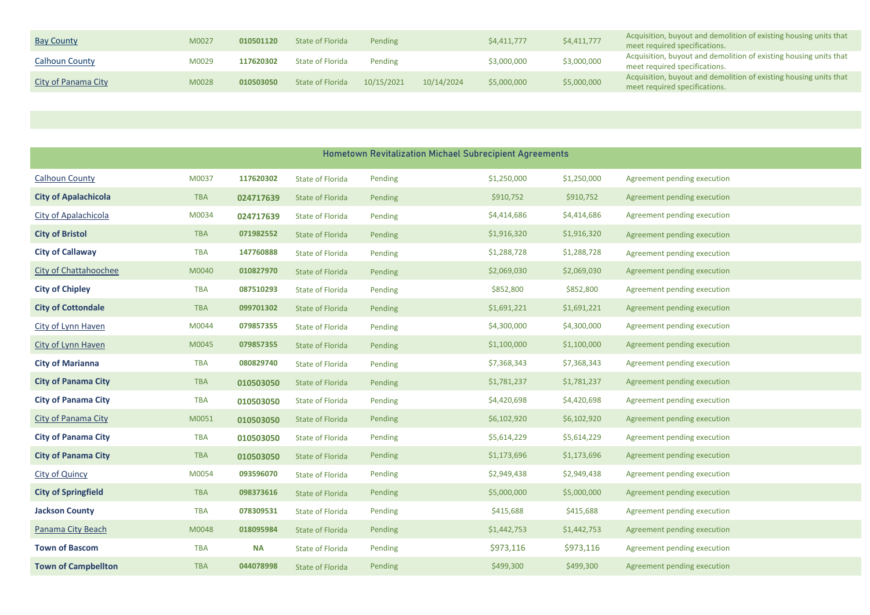| <b>Bay County</b>     | M0027 | 010501120 | State of Florida | Pending    |            | \$4,411,777 | \$4,411,777 | Acquisition, buyout and demolition of existing housing units that<br>meet required specifications. |
|-----------------------|-------|-----------|------------------|------------|------------|-------------|-------------|----------------------------------------------------------------------------------------------------|
| <b>Calhoun County</b> | M0029 | 117620302 | State of Florida | Pending    |            | \$3,000,000 | \$3,000,000 | Acquisition, buyout and demolition of existing housing units that<br>meet required specifications. |
| City of Panama City   | M0028 | 010503050 | State of Florida | 10/15/2021 | 10/14/2024 | \$5,000,000 | \$5,000,000 | Acquisition, buyout and demolition of existing housing units that<br>meet required specifications. |

|                              |            |           |                         |         | <b>Hometown Revitalization Michael Subrecipient Agreements</b> |             |                             |
|------------------------------|------------|-----------|-------------------------|---------|----------------------------------------------------------------|-------------|-----------------------------|
| <b>Calhoun County</b>        | M0037      | 117620302 | <b>State of Florida</b> | Pending | \$1,250,000                                                    | \$1,250,000 | Agreement pending execution |
| <b>City of Apalachicola</b>  | <b>TBA</b> | 024717639 | <b>State of Florida</b> | Pending | \$910,752                                                      | \$910,752   | Agreement pending execution |
| City of Apalachicola         | M0034      | 024717639 | <b>State of Florida</b> | Pending | \$4,414,686                                                    | \$4,414,686 | Agreement pending execution |
| <b>City of Bristol</b>       | <b>TBA</b> | 071982552 | <b>State of Florida</b> | Pending | \$1,916,320                                                    | \$1,916,320 | Agreement pending execution |
| <b>City of Callaway</b>      | <b>TBA</b> | 147760888 | <b>State of Florida</b> | Pending | \$1,288,728                                                    | \$1,288,728 | Agreement pending execution |
| <b>City of Chattahoochee</b> | M0040      | 010827970 | <b>State of Florida</b> | Pending | \$2,069,030                                                    | \$2,069,030 | Agreement pending execution |
| <b>City of Chipley</b>       | <b>TBA</b> | 087510293 | <b>State of Florida</b> | Pending | \$852,800                                                      | \$852,800   | Agreement pending execution |
| <b>City of Cottondale</b>    | <b>TBA</b> | 099701302 | <b>State of Florida</b> | Pending | \$1,691,221                                                    | \$1,691,221 | Agreement pending execution |
| City of Lynn Haven           | M0044      | 079857355 | <b>State of Florida</b> | Pending | \$4,300,000                                                    | \$4,300,000 | Agreement pending execution |
| City of Lynn Haven           | M0045      | 079857355 | <b>State of Florida</b> | Pending | \$1,100,000                                                    | \$1,100,000 | Agreement pending execution |
| <b>City of Marianna</b>      | <b>TBA</b> | 080829740 | <b>State of Florida</b> | Pending | \$7,368,343                                                    | \$7,368,343 | Agreement pending execution |
| <b>City of Panama City</b>   | <b>TBA</b> | 010503050 | <b>State of Florida</b> | Pending | \$1,781,237                                                    | \$1,781,237 | Agreement pending execution |
| <b>City of Panama City</b>   | <b>TBA</b> | 010503050 | <b>State of Florida</b> | Pending | \$4,420,698                                                    | \$4,420,698 | Agreement pending execution |
| City of Panama City          | M0051      | 010503050 | <b>State of Florida</b> | Pending | \$6,102,920                                                    | \$6,102,920 | Agreement pending execution |
| <b>City of Panama City</b>   | <b>TBA</b> | 010503050 | <b>State of Florida</b> | Pending | \$5,614,229                                                    | \$5,614,229 | Agreement pending execution |
| <b>City of Panama City</b>   | <b>TBA</b> | 010503050 | <b>State of Florida</b> | Pending | \$1,173,696                                                    | \$1,173,696 | Agreement pending execution |
| <b>City of Quincy</b>        | M0054      | 093596070 | <b>State of Florida</b> | Pending | \$2,949,438                                                    | \$2,949,438 | Agreement pending execution |
| <b>City of Springfield</b>   | <b>TBA</b> | 098373616 | <b>State of Florida</b> | Pending | \$5,000,000                                                    | \$5,000,000 | Agreement pending execution |
| <b>Jackson County</b>        | <b>TBA</b> | 078309531 | <b>State of Florida</b> | Pending | \$415,688                                                      | \$415,688   | Agreement pending execution |
| Panama City Beach            | M0048      | 018095984 | <b>State of Florida</b> | Pending | \$1,442,753                                                    | \$1,442,753 | Agreement pending execution |
| <b>Town of Bascom</b>        | <b>TBA</b> | <b>NA</b> | <b>State of Florida</b> | Pending | \$973,116                                                      | \$973,116   | Agreement pending execution |
| <b>Town of Campbellton</b>   | <b>TBA</b> | 044078998 | <b>State of Florida</b> | Pending | \$499,300                                                      | \$499,300   | Agreement pending execution |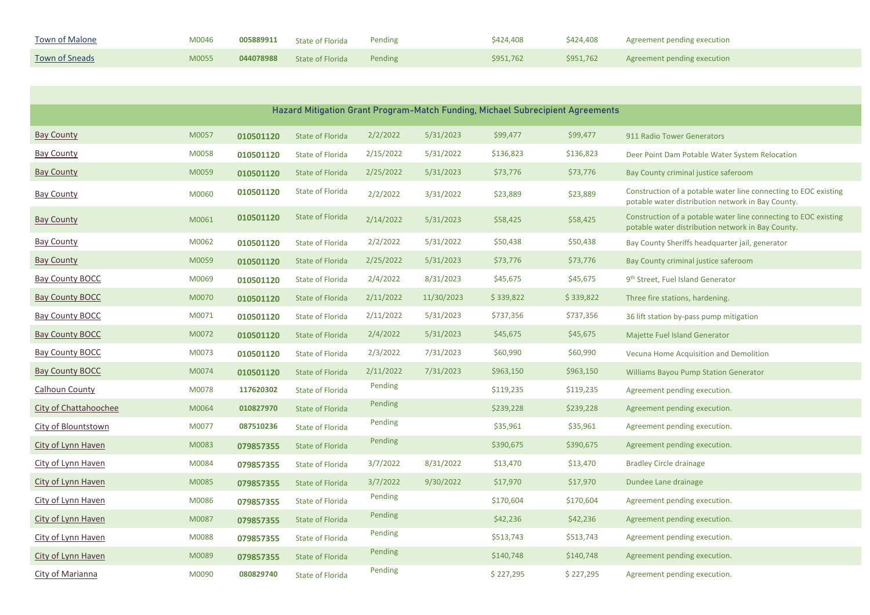| <b>Town of Malone</b> | M0046 | 005889911 | State of Florida | Pending | \$424,408 | \$424,408 | Agreement pending execution |
|-----------------------|-------|-----------|------------------|---------|-----------|-----------|-----------------------------|
| Town of Sneads        | M0055 | 044078988 | State of Florida | Pending | \$951,762 | \$951,762 | Agreement pending execution |

|                              |       |           |                         |           |            |           | Hazard Mitigation Grant Program-Match Funding, Michael Subrecipient Agreements |                                                                                                                      |
|------------------------------|-------|-----------|-------------------------|-----------|------------|-----------|--------------------------------------------------------------------------------|----------------------------------------------------------------------------------------------------------------------|
| <b>Bay County</b>            | M0057 | 010501120 | <b>State of Florida</b> | 2/2/2022  | 5/31/2023  | \$99,477  | \$99,477                                                                       | 911 Radio Tower Generators                                                                                           |
| <b>Bay County</b>            | M0058 | 010501120 | <b>State of Florida</b> | 2/15/2022 | 5/31/2022  | \$136,823 | \$136,823                                                                      | Deer Point Dam Potable Water System Relocation                                                                       |
| <b>Bay County</b>            | M0059 | 010501120 | <b>State of Florida</b> | 2/25/2022 | 5/31/2023  | \$73,776  | \$73,776                                                                       | Bay County criminal justice saferoom                                                                                 |
| <b>Bay County</b>            | M0060 | 010501120 | <b>State of Florida</b> | 2/2/2022  | 3/31/2022  | \$23,889  | \$23,889                                                                       | Construction of a potable water line connecting to EOC existing<br>potable water distribution network in Bay County. |
| <b>Bay County</b>            | M0061 | 010501120 | <b>State of Florida</b> | 2/14/2022 | 5/31/2023  | \$58,425  | \$58,425                                                                       | Construction of a potable water line connecting to EOC existing<br>potable water distribution network in Bay County. |
| <b>Bay County</b>            | M0062 | 010501120 | <b>State of Florida</b> | 2/2/2022  | 5/31/2022  | \$50,438  | \$50,438                                                                       | Bay County Sheriffs headquarter jail, generator                                                                      |
| <b>Bay County</b>            | M0059 | 010501120 | <b>State of Florida</b> | 2/25/2022 | 5/31/2023  | \$73,776  | \$73,776                                                                       | Bay County criminal justice saferoom                                                                                 |
| <b>Bay County BOCC</b>       | M0069 | 010501120 | <b>State of Florida</b> | 2/4/2022  | 8/31/2023  | \$45,675  | \$45,675                                                                       | 9 <sup>th</sup> Street, Fuel Island Generator                                                                        |
| <b>Bay County BOCC</b>       | M0070 | 010501120 | <b>State of Florida</b> | 2/11/2022 | 11/30/2023 | \$339,822 | \$339,822                                                                      | Three fire stations, hardening.                                                                                      |
| <b>Bay County BOCC</b>       | M0071 | 010501120 | <b>State of Florida</b> | 2/11/2022 | 5/31/2023  | \$737,356 | \$737,356                                                                      | 36 lift station by-pass pump mitigation                                                                              |
| <b>Bay County BOCC</b>       | M0072 | 010501120 | <b>State of Florida</b> | 2/4/2022  | 5/31/2023  | \$45,675  | \$45,675                                                                       | Majette Fuel Island Generator                                                                                        |
| <b>Bay County BOCC</b>       | M0073 | 010501120 | <b>State of Florida</b> | 2/3/2022  | 7/31/2023  | \$60,990  | \$60,990                                                                       | Vecuna Home Acquisition and Demolition                                                                               |
| <b>Bay County BOCC</b>       | M0074 | 010501120 | <b>State of Florida</b> | 2/11/2022 | 7/31/2023  | \$963,150 | \$963,150                                                                      | <b>Williams Bayou Pump Station Generator</b>                                                                         |
| <b>Calhoun County</b>        | M0078 | 117620302 | <b>State of Florida</b> | Pending   |            | \$119,235 | \$119,235                                                                      | Agreement pending execution.                                                                                         |
| <b>City of Chattahoochee</b> | M0064 | 010827970 | <b>State of Florida</b> | Pending   |            | \$239,228 | \$239,228                                                                      | Agreement pending execution.                                                                                         |
| <b>City of Blountstown</b>   | M0077 | 087510236 | <b>State of Florida</b> | Pending   |            | \$35,961  | \$35,961                                                                       | Agreement pending execution.                                                                                         |
| City of Lynn Haven           | M0083 | 079857355 | <b>State of Florida</b> | Pending   |            | \$390,675 | \$390,675                                                                      | Agreement pending execution.                                                                                         |
| City of Lynn Haven           | M0084 | 079857355 | <b>State of Florida</b> | 3/7/2022  | 8/31/2022  | \$13,470  | \$13,470                                                                       | <b>Bradley Circle drainage</b>                                                                                       |
| City of Lynn Haven           | M0085 | 079857355 | <b>State of Florida</b> | 3/7/2022  | 9/30/2022  | \$17,970  | \$17,970                                                                       | Dundee Lane drainage                                                                                                 |
| City of Lynn Haven           | M0086 | 079857355 | <b>State of Florida</b> | Pending   |            | \$170,604 | \$170,604                                                                      | Agreement pending execution.                                                                                         |
| City of Lynn Haven           | M0087 | 079857355 | <b>State of Florida</b> | Pending   |            | \$42,236  | \$42,236                                                                       | Agreement pending execution.                                                                                         |
| City of Lynn Haven           | M0088 | 079857355 | <b>State of Florida</b> | Pending   |            | \$513,743 | \$513,743                                                                      | Agreement pending execution.                                                                                         |
| City of Lynn Haven           | M0089 | 079857355 | <b>State of Florida</b> | Pending   |            | \$140,748 | \$140,748                                                                      | Agreement pending execution.                                                                                         |
| City of Marianna             | M0090 | 080829740 | <b>State of Florida</b> | Pending   |            | \$227,295 | \$227,295                                                                      | Agreement pending execution.                                                                                         |